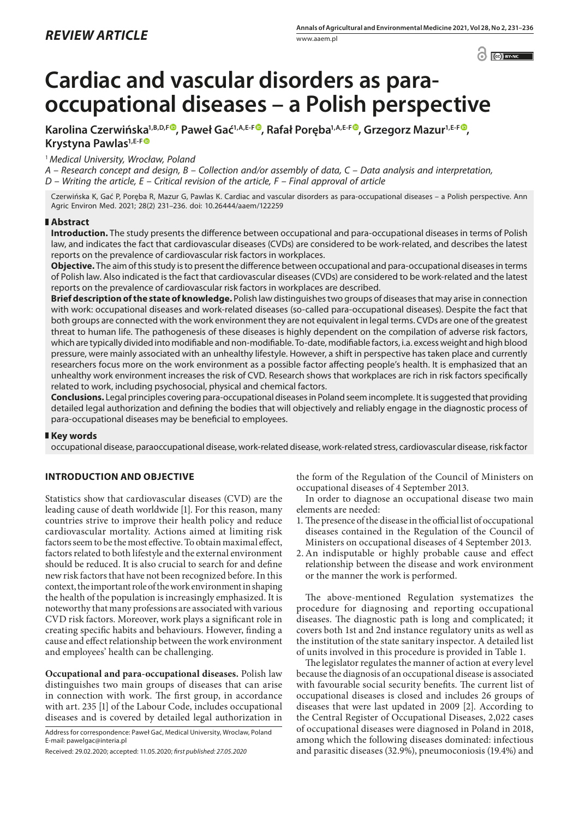$\odot$   $\odot$  BY-NC

# **Cardiac and vascular disorders as paraoccupational diseases – a Polish perspective**

Karolina Czerwińska<sup>1[,](https://orcid.org/0000-0001-6610-2008)B,D,F®</sup>, Paweł Gać<sup>1,A,E-F®</sup>, Rafał Poręba<sup>1,A,E-F®</sup>, Grzegorz Mazur<sup>1,E-F®</sup>, **Krystyna Pawlas1,E-[F](https://orcid.org/0000-0001-5485-7649)**

<sup>1</sup> *Medical University, Wrocław, Poland*

*A – Research concept and design, B – Collection and/or assembly of data, C – Data analysis and interpretation, D – Writing the article, E – Critical revision of the article, F – Final approval of article*

Czerwińska K, Gać P, Poręba R, Mazur G, Pawlas K. Cardiac and vascular disorders as para-occupational diseases – a Polish perspective. Ann Agric Environ Med. 2021; 28(2) 231–236. doi: 10.26444/aaem/122259

## **Abstract**

**Introduction.** The study presents the difference between occupational and para-occupational diseases in terms of Polish law, and indicates the fact that cardiovascular diseases (CVDs) are considered to be work-related, and describes the latest reports on the prevalence of cardiovascular risk factors in workplaces.

**Objective.** The aim of this study is to present the difference between occupational and para-occupational diseases in terms of Polish law. Also indicated is the fact that cardiovascular diseases (CVDs) are considered to be work-related and the latest reports on the prevalence of cardiovascular risk factors in workplaces are described.

**Brief description of the state of knowledge.** Polish law distinguishes two groups of diseases that may arise in connection with work: occupational diseases and work-related diseases (so-called para-occupational diseases). Despite the fact that both groups are connected with the work environment they are not equivalent in legal terms. CVDs are one of the greatest threat to human life. The pathogenesis of these diseases is highly dependent on the compilation of adverse risk factors, which are typically divided into modifiable and non-modifiable. To-date, modifiable factors, i.a. excess weight and high blood pressure, were mainly associated with an unhealthy lifestyle. However, a shift in perspective has taken place and currently researchers focus more on the work environment as a possible factor affecting people's health. It is emphasized that an unhealthy work environment increases the risk of CVD. Research shows that workplaces are rich in risk factors specifically related to work, including psychosocial, physical and chemical factors.

**Conclusions.** Legal principles covering para-occupational diseases in Poland seem incomplete. It is suggested that providing detailed legal authorization and defining the bodies that will objectively and reliably engage in the diagnostic process of para-occupational diseases may be beneficial to employees.

## **Key words**

occupational disease, paraoccupational disease, work-related disease, work-related stress, cardiovascular disease, risk factor

# **INTRODUCTION AND OBJECTIVE**

Statistics show that cardiovascular diseases (CVD) are the leading cause of death worldwide [1]. For this reason, many countries strive to improve their health policy and reduce cardiovascular mortality. Actions aimed at limiting risk factors seem to be the most effective. To obtain maximal effect, factors related to both lifestyle and the external environment should be reduced. It is also crucial to search for and define new risk factors that have not been recognized before. In this context, the important role of the work environment in shaping the health of the population is increasingly emphasized. It is noteworthy that many professions are associated with various CVD risk factors. Moreover, work plays a significant role in creating specific habits and behaviours. However, finding a cause and effect relationship between the work environment and employees' health can be challenging.

**Occupational and para-occupational diseases.** Polish law distinguishes two main groups of diseases that can arise in connection with work. The first group, in accordance with art. 235 [1] of the Labour Code, includes occupational diseases and is covered by detailed legal authorization in

Address for correspondence: Paweł Gać, Medical University, Wroclaw, Poland E-mail: pawelgac@interia.pl

Received: 29.02.2020; accepted: 11.05.2020; *first published: 27.05.2020*

the form of the Regulation of the Council of Ministers on occupational diseases of 4 September 2013.

In order to diagnose an occupational disease two main elements are needed:

- 1. The presence of the disease in the official list of occupational diseases contained in the Regulation of the Council of Ministers on occupational diseases of 4 September 2013.
- 2.An indisputable or highly probable cause and effect relationship between the disease and work environment or the manner the work is performed.

The above-mentioned Regulation systematizes the procedure for diagnosing and reporting occupational diseases. The diagnostic path is long and complicated; it covers both 1st and 2nd instance regulatory units as well as the institution of the state sanitary inspector. A detailed list of units involved in this procedure is provided in Table 1.

The legislator regulates the manner of action at every level because the diagnosis of an occupational disease is associated with favourable social security benefits. The current list of occupational diseases is closed and includes 26 groups of diseases that were last updated in 2009 [2]. According to the Central Register of Occupational Diseases, 2,022 cases of occupational diseases were diagnosed in Poland in 2018, among which the following diseases dominated: infectious and parasitic diseases (32.9%), pneumoconiosis (19.4%) and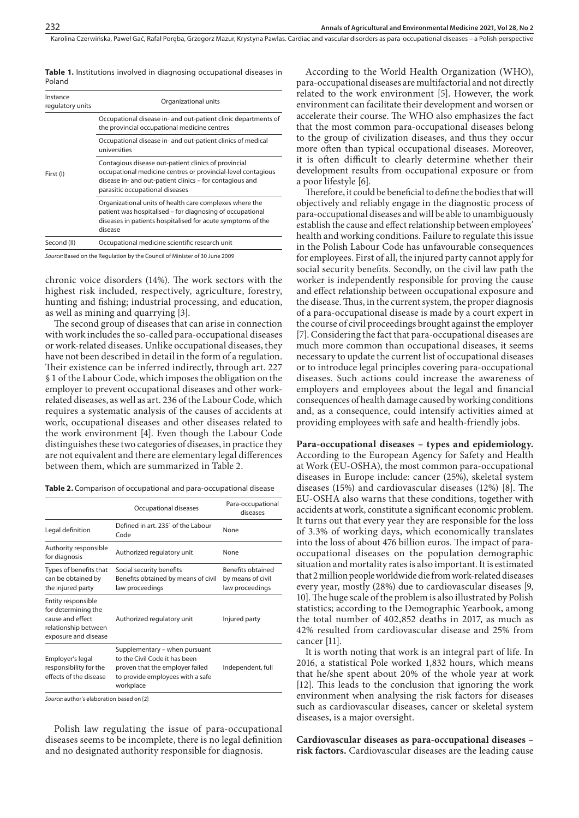Karolina Czerwińska, Paweł Gać, Rafał Poręba, Grzegorz Mazur, Krystyna Pawlas . Cardiac and vascular disorders as para-occupational diseases – a Polish perspective

| Instance<br>regulatory units | Organizational units                                                                                                                                                                                                |  |  |
|------------------------------|---------------------------------------------------------------------------------------------------------------------------------------------------------------------------------------------------------------------|--|--|
| First (I)                    | Occupational disease in- and out-patient clinic departments of<br>the provincial occupational medicine centres                                                                                                      |  |  |
|                              | Occupational disease in- and out-patient clinics of medical<br>universities                                                                                                                                         |  |  |
|                              | Contagious disease out-patient clinics of provincial<br>occupational medicine centres or provincial-level contagious<br>disease in- and out-patient clinics - for contagious and<br>parasitic occupational diseases |  |  |
|                              | Organizational units of health care complexes where the<br>patient was hospitalised – for diagnosing of occupational<br>diseases in patients hospitalised for acute symptoms of the<br>disease                      |  |  |
| Second (II)                  | Occupational medicine scientific research unit                                                                                                                                                                      |  |  |

**Table 1.** Institutions involved in diagnosing occupational diseases in Poland

*Source:* Based on the Regulation by the Council of Minister of 30 June 2009

chronic voice disorders (14%). The work sectors with the highest risk included, respectively, agriculture, forestry, hunting and fishing; industrial processing, and education, as well as mining and quarrying [3].

The second group of diseases that can arise in connection with work includes the so-called para-occupational diseases or work-related diseases. Unlike occupational diseases, they have not been described in detail in the form of a regulation. Their existence can be inferred indirectly, through art. 227 § 1 of the Labour Code, which imposes the obligation on the employer to prevent occupational diseases and other workrelated diseases, as well as art. 236 of the Labour Code, which requires a systematic analysis of the causes of accidents at work, occupational diseases and other diseases related to the work environment [4]. Even though the Labour Code distinguishes these two categories of diseases, in practice they are not equivalent and there are elementary legal differences between them, which are summarized in Table 2.

**Table 2.** Comparison of occupational and para-occupational disease

| Occupational diseases                                                                                                                              | Para-occupational<br>diseases                             |
|----------------------------------------------------------------------------------------------------------------------------------------------------|-----------------------------------------------------------|
| Defined in art. 235 <sup>1</sup> of the Labour<br>Code                                                                                             | None                                                      |
| Authorized regulatory unit                                                                                                                         | None                                                      |
| Social security benefits<br>Benefits obtained by means of civil<br>law proceedings                                                                 | Benefits obtained<br>by means of civil<br>law proceedings |
| Authorized regulatory unit                                                                                                                         | Injured party                                             |
| Supplementary – when pursuant<br>to the Civil Code it has been<br>proven that the employer failed<br>to provide employees with a safe<br>workplace | Independent, full                                         |
|                                                                                                                                                    |                                                           |

*Source:* author's elaboration based on [2]

Polish law regulating the issue of para-occupational diseases seems to be incomplete, there is no legal definition and no designated authority responsible for diagnosis.

According to the World Health Organization (WHO), para-occupational diseases are multifactorial and not directly related to the work environment [5]. However, the work environment can facilitate their development and worsen or accelerate their course. The WHO also emphasizes the fact that the most common para-occupational diseases belong to the group of civilization diseases, and thus they occur more often than typical occupational diseases. Moreover, it is often difficult to clearly determine whether their development results from occupational exposure or from a poor lifestyle [6].

Therefore, it could be beneficial to define the bodies that will objectively and reliably engage in the diagnostic process of para-occupational diseases and will be able to unambiguously establish the cause and effect relationship between employees' health and working conditions. Failure to regulate this issue in the Polish Labour Code has unfavourable consequences for employees. First of all, the injured party cannot apply for social security benefits. Secondly, on the civil law path the worker is independently responsible for proving the cause and effect relationship between occupational exposure and the disease. Thus, in the current system, the proper diagnosis of a para-occupational disease is made by a court expert in the course of civil proceedings brought against the employer [7]. Considering the fact that para-occupational diseases are much more common than occupational diseases, it seems necessary to update the current list of occupational diseases or to introduce legal principles covering para-occupational diseases. Such actions could increase the awareness of employers and employees about the legal and financial consequences of health damage caused by working conditions and, as a consequence, could intensify activities aimed at providing employees with safe and health-friendly jobs.

**Para-occupational diseases – types and epidemiology.** According to the European Agency for Safety and Health at Work (EU-OSHA), the most common para-occupational diseases in Europe include: cancer (25%), skeletal system diseases (15%) and cardiovascular diseases (12%) [8]. The EU-OSHA also warns that these conditions, together with accidents at work, constitute a significant economic problem. It turns out that every year they are responsible for the loss of 3.3% of working days, which economically translates into the loss of about 476 billion euros. The impact of paraoccupational diseases on the population demographic situation and mortality rates is also important. It is estimated that 2 million people worldwide die from work-related diseases every year, mostly (28%) due to cardiovascular diseases [9, 10]. The huge scale of the problem is also illustrated by Polish statistics; according to the Demographic Yearbook, among the total number of 402,852 deaths in 2017, as much as 42% resulted from cardiovascular disease and 25% from cancer [11].

It is worth noting that work is an integral part of life. In 2016, a statistical Pole worked 1,832 hours, which means that he/she spent about 20% of the whole year at work [12]. This leads to the conclusion that ignoring the work environment when analysing the risk factors for diseases such as cardiovascular diseases, cancer or skeletal system diseases, is a major oversight.

**Cardiovascular diseases as para-occupational diseases – risk factors.** Cardiovascular diseases are the leading cause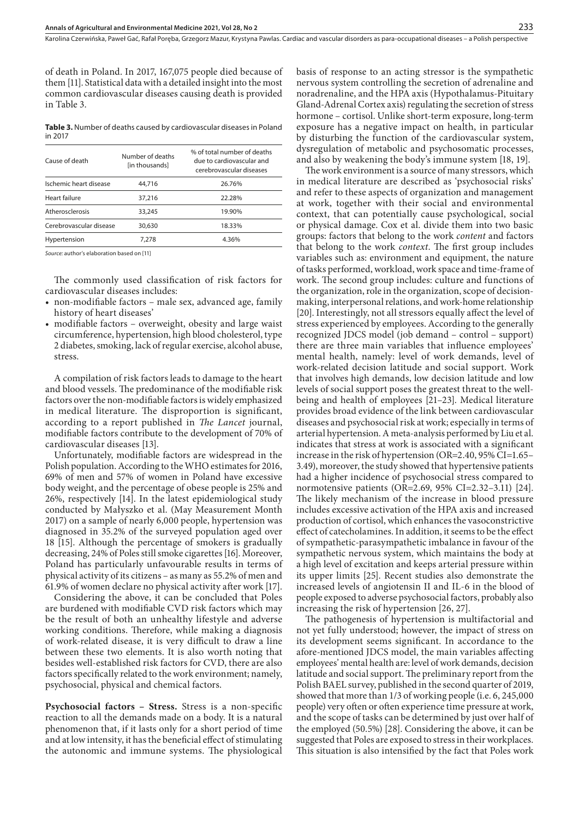of death in Poland. In 2017, 167,075 people died because of them [11]. Statistical data with a detailed insight into the most common cardiovascular diseases causing death is provided in Table 3.

**Table 3.** Number of deaths caused by cardiovascular diseases in Poland in 2017

| Cause of death          | Number of deaths<br>[in thousands] | % of total number of deaths<br>due to cardiovascular and<br>cerebrovascular diseases |
|-------------------------|------------------------------------|--------------------------------------------------------------------------------------|
| Ischemic heart disease  | 44,716                             | 26.76%                                                                               |
| Heart failure           | 37,216                             | 22.28%                                                                               |
| Atherosclerosis         | 33,245                             | 19.90%                                                                               |
| Cerebrovascular disease | 30,630                             | 18.33%                                                                               |
| Hypertension            | 7.278                              | 4.36%                                                                                |
|                         |                                    |                                                                                      |

*Source:* author's elaboration based on [11]

The commonly used classification of risk factors for cardiovascular diseases includes:

- non-modifiable factors male sex, advanced age, family history of heart diseases'
- modifiable factors overweight, obesity and large waist circumference, hypertension, high blood cholesterol, type 2 diabetes, smoking, lack of regular exercise, alcohol abuse, stress.

A compilation of risk factors leads to damage to the heart and blood vessels. The predominance of the modifiable risk factors over the non-modifiable factors is widely emphasized in medical literature. The disproportion is significant, according to a report published in *The Lancet* journal, modifiable factors contribute to the development of 70% of cardiovascular diseases [13].

Unfortunately, modifiable factors are widespread in the Polish population. According to the WHO estimates for 2016, 69% of men and 57% of women in Poland have excessive body weight, and the percentage of obese people is 25% and 26%, respectively [14]. In the latest epidemiological study conducted by Małyszko et al. (May Measurement Month 2017) on a sample of nearly 6,000 people, hypertension was diagnosed in 35.2% of the surveyed population aged over 18 [15]. Although the percentage of smokers is gradually decreasing, 24% of Poles still smoke cigarettes [16]. Moreover, Poland has particularly unfavourable results in terms of physical activity of its citizens – as many as 55.2% of men and 61.9% of women declare no physical activity after work [17].

Considering the above, it can be concluded that Poles are burdened with modifiable CVD risk factors which may be the result of both an unhealthy lifestyle and adverse working conditions. Therefore, while making a diagnosis of work-related disease, it is very difficult to draw a line between these two elements. It is also worth noting that besides well-established risk factors for CVD, there are also factors specifically related to the work environment; namely, psychosocial, physical and chemical factors.

**Psychosocial factors – Stress.** Stress is a non-specific reaction to all the demands made on a body. It is a natural phenomenon that, if it lasts only for a short period of time and at low intensity, it has the beneficial effect of stimulating the autonomic and immune systems. The physiological basis of response to an acting stressor is the sympathetic nervous system controlling the secretion of adrenaline and noradrenaline, and the HPA axis (Hypothalamus-Pituitary Gland-Adrenal Cortex axis) regulating the secretion of stress hormone – cortisol. Unlike short-term exposure, long-term exposure has a negative impact on health, in particular by disturbing the function of the cardiovascular system, dysregulation of metabolic and psychosomatic processes, and also by weakening the body's immune system [18, 19].

The work environment is a source of many stressors, which in medical literature are described as 'psychosocial risks' and refer to these aspects of organization and management at work, together with their social and environmental context, that can potentially cause psychological, social or physical damage. Cox et al. divide them into two basic groups: factors that belong to the work *content* and factors that belong to the work *context*. The first group includes variables such as: environment and equipment, the nature of tasks performed, workload, work space and time-frame of work. The second group includes: culture and functions of the organization, role in the organization, scope of decisionmaking, interpersonal relations, and work-home relationship [20]. Interestingly, not all stressors equally affect the level of stress experienced by employees. According to the generally recognized JDCS model (job demand – control – support) there are three main variables that influence employees' mental health, namely: level of work demands, level of work-related decision latitude and social support. Work that involves high demands, low decision latitude and low levels of social support poses the greatest threat to the wellbeing and health of employees [21–23]. Medical literature provides broad evidence of the link between cardiovascular diseases and psychosocial risk at work; especially in terms of arterial hypertension. A meta-analysis performed by Liu et al. indicates that stress at work is associated with a significant increase in the risk of hypertension (OR=2.40, 95% CI=1.65– 3.49), moreover, the study showed that hypertensive patients had a higher incidence of psychosocial stress compared to normotensive patients (OR=2.69, 95% CI=2.32–3.11) [24]. The likely mechanism of the increase in blood pressure includes excessive activation of the HPA axis and increased production of cortisol, which enhances the vasoconstrictive effect of catecholamines. In addition, it seems to be the effect of sympathetic-parasympathetic imbalance in favour of the sympathetic nervous system, which maintains the body at a high level of excitation and keeps arterial pressure within its upper limits [25]. Recent studies also demonstrate the increased levels of angiotensin II and IL-6 in the blood of people exposed to adverse psychosocial factors, probably also increasing the risk of hypertension [26, 27].

The pathogenesis of hypertension is multifactorial and not yet fully understood; however, the impact of stress on its development seems significant. In accordance to the afore-mentioned JDCS model, the main variables affecting employees' mental health are: level of work demands, decision latitude and social support. The preliminary report from the Polish BAEL survey, published in the second quarter of 2019, showed that more than 1/3 of working people (i.e. 6, 245,000 people) very often or often experience time pressure at work, and the scope of tasks can be determined by just over half of the employed (50.5%) [28]. Considering the above, it can be suggested that Poles are exposed to stress in their workplaces. This situation is also intensified by the fact that Poles work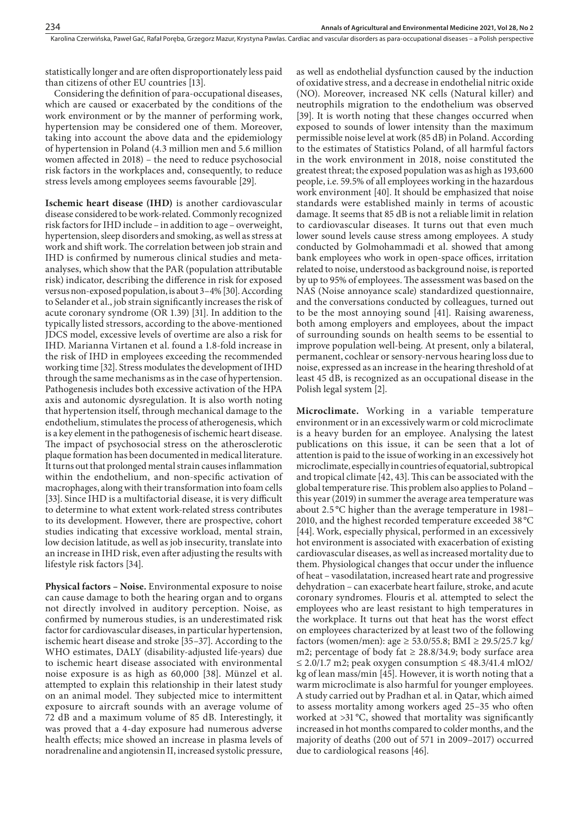Karolina Czerwińska, Paweł Gać, Rafał Poręba, Grzegorz Mazur, Krystyna Pawlas . Cardiac and vascular disorders as para-occupational diseases – a Polish perspective

statistically longer and are often disproportionately less paid than citizens of other EU countries [13].

Considering the definition of para-occupational diseases, which are caused or exacerbated by the conditions of the work environment or by the manner of performing work, hypertension may be considered one of them. Moreover, taking into account the above data and the epidemiology of hypertension in Poland (4.3 million men and 5.6 million women affected in 2018) – the need to reduce psychosocial risk factors in the workplaces and, consequently, to reduce stress levels among employees seems favourable [29].

**Ischemic heart disease (IHD)** is another cardiovascular disease considered to be work-related. Commonly recognized risk factors for IHD include – in addition to age – overweight, hypertension, sleep disorders and smoking, as well as stress at work and shift work. The correlation between job strain and IHD is confirmed by numerous clinical studies and metaanalyses, which show that the PAR (population attributable risk) indicator, describing the difference in risk for exposed versus non-exposed population, is about 3–4% [30]. According to Selander et al., job strain significantly increases the risk of acute coronary syndrome (OR 1.39) [31]. In addition to the typically listed stressors, according to the above-mentioned JDCS model, excessive levels of overtime are also a risk for IHD. Marianna Virtanen et al. found a 1.8-fold increase in the risk of IHD in employees exceeding the recommended working time [32]. Stress modulates the development of IHD through the same mechanisms as in the case of hypertension. Pathogenesis includes both excessive activation of the HPA axis and autonomic dysregulation. It is also worth noting that hypertension itself, through mechanical damage to the endothelium, stimulates the process of atherogenesis, which is a key element in the pathogenesis of ischemic heart disease. The impact of psychosocial stress on the atherosclerotic plaque formation has been documented in medical literature. It turns out that prolonged mental strain causes inflammation within the endothelium, and non-specific activation of macrophages, along with their transformation into foam cells [33]. Since IHD is a multifactorial disease, it is very difficult to determine to what extent work-related stress contributes to its development. However, there are prospective, cohort studies indicating that excessive workload, mental strain, low decision latitude, as well as job insecurity, translate into an increase in IHD risk, even after adjusting the results with lifestyle risk factors [34].

**Physical factors – Noise.** Environmental exposure to noise can cause damage to both the hearing organ and to organs not directly involved in auditory perception. Noise, as confirmed by numerous studies, is an underestimated risk factor for cardiovascular diseases, in particular hypertension, ischemic heart disease and stroke [35–37]. According to the WHO estimates, DALY (disability-adjusted life-years) due to ischemic heart disease associated with environmental noise exposure is as high as 60,000 [38]. Münzel et al. attempted to explain this relationship in their latest study on an animal model. They subjected mice to intermittent exposure to aircraft sounds with an average volume of 72 dB and a maximum volume of 85 dB. Interestingly, it was proved that a 4-day exposure had numerous adverse health effects; mice showed an increase in plasma levels of noradrenaline and angiotensin II, increased systolic pressure,

as well as endothelial dysfunction caused by the induction of oxidative stress, and a decrease in endothelial nitric oxide (NO). Moreover, increased NK cells (Natural killer) and neutrophils migration to the endothelium was observed [39]. It is worth noting that these changes occurred when exposed to sounds of lower intensity than the maximum permissible noise level at work (85 dB) in Poland. According to the estimates of Statistics Poland, of all harmful factors in the work environment in 2018, noise constituted the greatest threat; the exposed population was as high as 193,600 people, i.e. 59.5% of all employees working in the hazardous work environment [40]. It should be emphasized that noise standards were established mainly in terms of acoustic damage. It seems that 85 dB is not a reliable limit in relation to cardiovascular diseases. It turns out that even much lower sound levels cause stress among employees. A study conducted by Golmohammadi et al. showed that among bank employees who work in open-space offices, irritation related to noise, understood as background noise, is reported by up to 95% of employees. The assessment was based on the NAS (Noise annoyance scale) standardized questionnaire, and the conversations conducted by colleagues, turned out to be the most annoying sound [41]. Raising awareness, both among employers and employees, about the impact of surrounding sounds on health seems to be essential to improve population well-being. At present, only a bilateral, permanent, cochlear or sensory-nervous hearing loss due to noise, expressed as an increase in the hearing threshold of at least 45 dB, is recognized as an occupational disease in the Polish legal system [2].

**Microclimate.** Working in a variable temperature environment or in an excessively warm or cold microclimate is a heavy burden for an employee. Analysing the latest publications on this issue, it can be seen that a lot of attention is paid to the issue of working in an excessively hot microclimate, especially in countries of equatorial, subtropical and tropical climate [42, 43]. This can be associated with the global temperature rise. This problem also applies to Poland – this year (2019) in summer the average area temperature was about 2.5 °C higher than the average temperature in 1981– 2010, and the highest recorded temperature exceeded 38 °C [44]. Work, especially physical, performed in an excessively hot environment is associated with exacerbation of existing cardiovascular diseases, as well as increased mortality due to them. Physiological changes that occur under the influence of heat – vasodilatation, increased heart rate and progressive dehydration – can exacerbate heart failure, stroke, and acute coronary syndromes. Flouris et al. attempted to select the employees who are least resistant to high temperatures in the workplace. It turns out that heat has the worst effect on employees characterized by at least two of the following factors (women/men): age ≥ 53.0/55.8; BMI ≥ 29.5/25.7 kg/ m2; percentage of body fat  $\geq 28.8/34.9$ ; body surface area ≤ 2.0/1.7 m2; peak oxygen consumption ≤ 48.3/41.4 mlO2/ kg of lean mass/min [45]. However, it is worth noting that a warm microclimate is also harmful for younger employees. A study carried out by Pradhan et al. in Qatar, which aimed to assess mortality among workers aged 25–35 who often worked at >31 °C, showed that mortality was significantly increased in hot months compared to colder months, and the majority of deaths (200 out of 571 in 2009–2017) occurred due to cardiological reasons [46].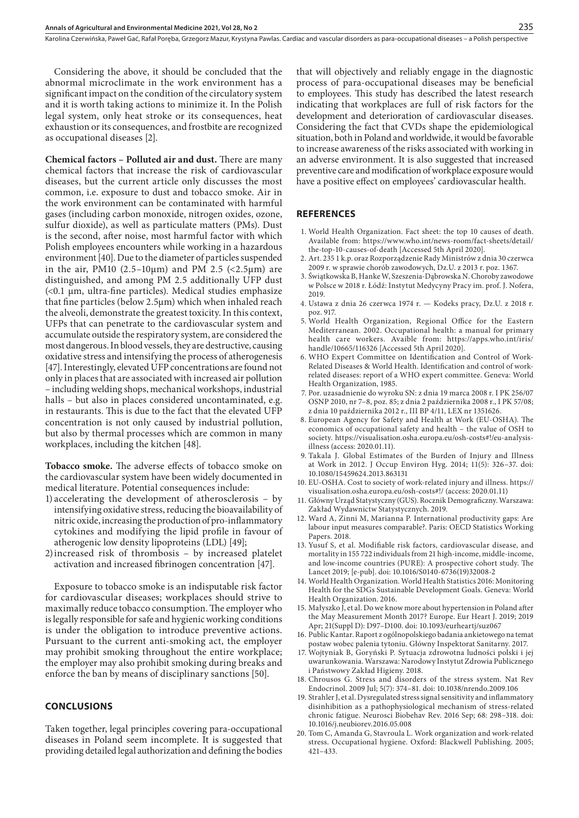Considering the above, it should be concluded that the abnormal microclimate in the work environment has a significant impact on the condition of the circulatory system and it is worth taking actions to minimize it. In the Polish legal system, only heat stroke or its consequences, heat exhaustion or its consequences, and frostbite are recognized as occupational diseases [2].

**Chemical factors – Polluted air and dust.** There are many chemical factors that increase the risk of cardiovascular diseases, but the current article only discusses the most common, i.e. exposure to dust and tobacco smoke. Air in the work environment can be contaminated with harmful gases (including carbon monoxide, nitrogen oxides, ozone, sulfur dioxide), as well as particulate matters (PMs). Dust is the second, after noise, most harmful factor with which Polish employees encounters while working in a hazardous environment [40]. Due to the diameter of particles suspended in the air, PM10 (2.5–10 $\mu$ m) and PM 2.5 (<2.5 $\mu$ m) are distinguished, and among PM 2.5 additionally UFP dust (<0.1 μm, ultra-fine particles). Medical studies emphasize that fine particles (below 2.5μm) which when inhaled reach the alveoli, demonstrate the greatest toxicity. In this context, UFPs that can penetrate to the cardiovascular system and accumulate outside the respiratory system, are considered the most dangerous. In blood vessels, they are destructive, causing oxidative stress and intensifying the process of atherogenesis [47]. Interestingly, elevated UFP concentrations are found not only in places that are associated with increased air pollution – including welding shops, mechanical workshops, industrial halls – but also in places considered uncontaminated, e.g. in restaurants. This is due to the fact that the elevated UFP concentration is not only caused by industrial pollution, but also by thermal processes which are common in many workplaces, including the kitchen [48].

**Tobacco smoke.** The adverse effects of tobacco smoke on the cardiovascular system have been widely documented in medical literature. Potential consequences include:

- 1) accelerating the development of atherosclerosis by intensifying oxidative stress, reducing the bioavailability of nitric oxide, increasing the production of pro-inflammatory cytokines and modifying the lipid profile in favour of atherogenic low density lipoproteins (LDL) [49];
- 2)increased risk of thrombosis by increased platelet activation and increased fibrinogen concentration [47].

Exposure to tobacco smoke is an indisputable risk factor for cardiovascular diseases; workplaces should strive to maximally reduce tobacco consumption. The employer who is legally responsible for safe and hygienic working conditions is under the obligation to introduce preventive actions. Pursuant to the current anti-smoking act, the employer may prohibit smoking throughout the entire workplace; the employer may also prohibit smoking during breaks and enforce the ban by means of disciplinary sanctions [50].

### **CONCLUSIONS**

Taken together, legal principles covering para-occupational diseases in Poland seem incomplete. It is suggested that providing detailed legal authorization and defining the bodies

that will objectively and reliably engage in the diagnostic process of para-occupational diseases may be beneficial to employees. This study has described the latest research indicating that workplaces are full of risk factors for the development and deterioration of cardiovascular diseases. Considering the fact that CVDs shape the epidemiological situation, both in Poland and worldwide, it would be favorable to increase awareness of the risks associated with working in an adverse environment. It is also suggested that increased preventive care and modification of workplace exposure would have a positive effect on employees' cardiovascular health.

#### **REFERENCES**

- 1. World Health Organization. Fact sheet: the top 10 causes of death. Available from: https://www.who.int/news-room/fact-sheets/detail/ the-top-10-causes-of-death [Accessed 5th April 2020].
- 2. Art. 235 1 k.p. oraz Rozporządzenie Rady Ministrów z dnia 30 czerwca 2009 r. w sprawie chorób zawodowych, Dz.U. z 2013 r. poz. 1367.
- 3. Świątkowska B, Hanke W, Szeszenia-Dąbrowska N. Choroby zawodowe w Polsce w 2018 r. Łódź: Instytut Medycyny Pracy im. prof. J. Nofera, 2019.
- 4. Ustawa z dnia 26 czerwca 1974 r. Kodeks pracy, Dz.U. z 2018 r. poz. 917.
- 5. World Health Organization, Regional Office for the Eastern Mediterranean. 2002. Occupational health: a manual for primary health care workers. Avaible from: https://apps.who.int/iris/ handle/10665/116326 [Accessed 5th April 2020].
- 6. WHO Expert Committee on Identification and Control of Work-Related Diseases & World Health. Identification and control of workrelated diseases: report of a WHO expert committee. Geneva: World Health Organization, 1985.
- 7. Por. uzasadnienie do wyroku SN: z dnia 19 marca 2008 r. I PK 256/07 OSNP 2010, nr 7–8, poz. 85; z dnia 2 października 2008 r., I PK 57/08; z dnia 10 października 2012 r., III BP 4/11, LEX nr 1351626.
- 8. European Agency for Safety and Health at Work (EU-OSHA). The economics of occupational safety and health – the value of OSH to society. https://visualisation.osha.europa.eu/osh-costs#!/eu-analysisillness (access: 2020.01.11).
- 9. Takala J. Global Estimates of the Burden of Injury and Illness at Work in 2012. J Occup Environ Hyg. 2014; 11(5): 326–37. doi: 10.1080/15459624.2013.863131
- 10. EU-OSHA. Cost to society of work-related injury and illness. https:// visualisation.osha.europa.eu/osh-costs#!/ (access: 2020.01.11)
- 11. Główny Urząd Statystyczny (GUS). Rocznik Demograficzny. Warszawa: Zakład Wydawnictw Statystycznych. 2019.
- 12. Ward A, Zinni M, Marianna P. International productivity gaps: Are labour input measures comparable?. Paris: OECD Statistics Working Papers. 2018.
- 13. Yusuf S, et al. Modifiable risk factors, cardiovascular disease, and mortality in 155 722 individuals from 21 high-income, middle-income, and low-income countries (PURE): A prospective cohort study. The Lancet 2019; [e-pub]. doi: 10.1016/S0140-6736(19)32008-2
- 14. World Health Organization. World Health Statistics 2016: Monitoring Health for the SDGs Sustainable Development Goals. Geneva: World Health Organization. 2016.
- 15. Małyszko J, et al. Do we know more about hypertension in Poland after the May Measurement Month 2017? Europe. Eur Heart J. 2019; 2019 Apr; 21(Suppl D): D97–D100. doi: 10.1093/eurheartj/suz067
- 16. Public Kantar. Raport z ogólnopolskiego badania ankietowego na temat postaw wobec palenia tytoniu. Główny Inspektorat Sanitarny. 2017.
- 17. Wojtyniak B, Goryński P. Sytuacja zdrowotna ludności polski i jej uwarunkowania. Warszawa: Narodowy Instytut Zdrowia Publicznego i Państwowy Zakład Higieny. 2018.
- 18. Chrousos G. Stress and disorders of the stress system. Nat Rev Endocrinol. 2009 Jul; 5(7): 374–81. doi: 10.1038/nrendo.2009.106
- 19. Strahler J, et al. Dysregulated stress signal sensitivity and inflammatory disinhibition as a pathophysiological mechanism of stress-related chronic fatigue. Neurosci Biobehav Rev. 2016 Sep; 68: 298–318. doi: 10.1016/j.neubiorev.2016.05.008
- 20. Tom C, Amanda G, Stavroula L. Work organization and work-related stress. Occupational hygiene. Oxford: Blackwell Publishing. 2005; 421–433.